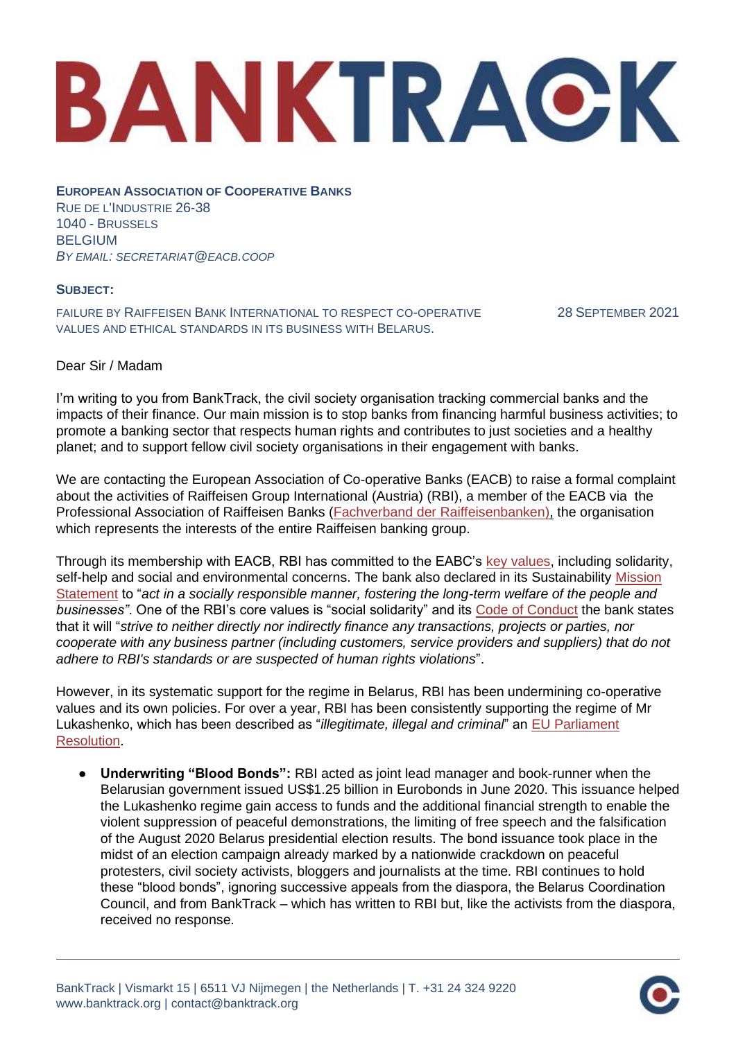## BANKTRACK

**EUROPEAN ASSOCIATION OF COOPERATIVE BANKS**  RUE DE L'INDUSTRIE 26-38 1040 - BRUSSELS BELGIUM *BY EMAIL: SECRETARIAT@EACB.COOP*

## **SUBJECT:**

FAILURE BY RAIFFEISEN BANK INTERNATIONAL TO RESPECT CO-OPERATIVE VALUES AND ETHICAL STANDARDS IN ITS BUSINESS WITH BELARUS.

28 SEPTEMBER 2021

## Dear Sir / Madam

I'm writing to you from BankTrack, the civil society organisation tracking commercial banks and the impacts of their finance. Our main mission is to stop banks from financing harmful business activities; to promote a banking sector that respects human rights and contributes to just societies and a healthy planet; and to support fellow civil society organisations in their engagement with banks.

We are contacting the European Association of Co-operative Banks (EACB) to raise a formal complaint about the activities of Raiffeisen Group International (Austria) (RBI), a member of the EACB via the Professional Association of Raiffeisen Banks [\(Fachverband der Raiffeisenbanken\),](https://www.raiffeisenverband.at/de/raiffeisenverband/organisation/fachverband-der-raiffeisenbanken.html) the organisation which represents the interests of the entire Raiffeisen banking group.

Through its membership with EACB, RBI has committed to the EABC's [key values,](http://www.eacb.coop/en/cooperative-banks/key-values.html) including solidarity, self-help and social and environmental concerns. The bank also declared in its Sustainability Mission [Statement](https://www.rbinternational.com/en/who-we-are/sustainability/governance/mission-statement.html) to "*act in a socially responsible manner, fostering the long-term welfare of the people and businesses"*. One of the RBI's core values is "social solidarity" and its [Code of Conduct](https://www.rbinternational.com/de/ueber-uns/governance-und-compliance/code-of-conduct/_jcr_content/root/responsivegrid/contentcontainer_cop/contentbox/downloadlist.download.html/0/English.pdf) the bank states that it will "*strive to neither directly nor indirectly finance any transactions, projects or parties, nor cooperate with any business partner (including customers, service providers and suppliers) that do not adhere to RBI's standards or are suspected of human rights violations*".

However, in its systematic support for the regime in Belarus, RBI has been undermining co-operative values and its own policies. For over a year, RBI has been consistently supporting the regime of Mr Lukashenko, which has been described as "*illegitimate, illegal and criminal*" an [EU Parliament](https://www.europarl.europa.eu/doceo/document/RC-9-2021-0328_EN.html) [Resolution.](https://www.europarl.europa.eu/doceo/document/RC-9-2021-0328_EN.html)

● **Underwriting "Blood Bonds":** RBI acted as joint lead manager and book-runner when the Belarusian government issued US\$1.25 billion in Eurobonds in June 2020. This issuance helped the Lukashenko regime gain access to funds and the additional financial strength to enable the violent suppression of peaceful demonstrations, the limiting of free speech and the falsification of the August 2020 Belarus presidential election results. The bond issuance took place in the midst of an election campaign already marked by a nationwide crackdown on peaceful protesters, civil society activists, bloggers and journalists at the time. RBI continues to hold these "blood bonds", ignoring successive appeals from the diaspora, the Belarus Coordination Council, and from BankTrack – which has written to RBI but, like the activists from the diaspora, received no response.